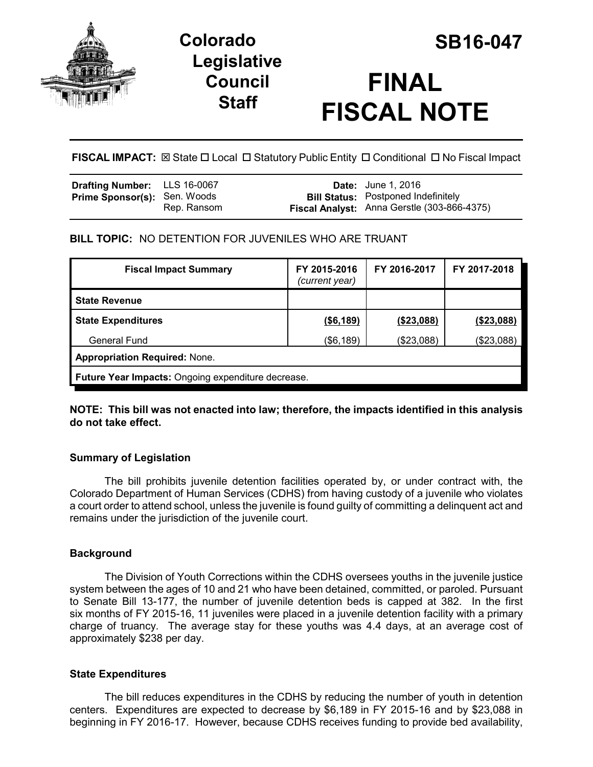

# **Colorado SB16-047 Legislative Council Staff**

# **FINAL FISCAL NOTE**

**FISCAL IMPACT:** ⊠ State  $\Box$  Local  $\Box$  Statutory Public Entity  $\Box$  Conditional  $\Box$  No Fiscal Impact

| Drafting Number: LLS 16-0067        |             | <b>Date:</b> June 1, 2016                                                                 |
|-------------------------------------|-------------|-------------------------------------------------------------------------------------------|
| <b>Prime Sponsor(s): Sen. Woods</b> | Rep. Ransom | <b>Bill Status:</b> Postponed Indefinitely<br>Fiscal Analyst: Anna Gerstle (303-866-4375) |

## **BILL TOPIC:** NO DETENTION FOR JUVENILES WHO ARE TRUANT

| <b>Fiscal Impact Summary</b>                       | FY 2015-2016<br>(current year) | FY 2016-2017 | FY 2017-2018 |  |  |
|----------------------------------------------------|--------------------------------|--------------|--------------|--|--|
| <b>State Revenue</b>                               |                                |              |              |  |  |
| <b>State Expenditures</b>                          | ( \$6,189)                     | ( \$23,088)  | (\$23,088)   |  |  |
| <b>General Fund</b>                                | (\$6,189)                      | (\$23,088)   | (\$23,088)   |  |  |
| <b>Appropriation Required: None.</b>               |                                |              |              |  |  |
| Future Year Impacts: Ongoing expenditure decrease. |                                |              |              |  |  |

**NOTE: This bill was not enacted into law; therefore, the impacts identified in this analysis do not take effect.** 

## **Summary of Legislation**

The bill prohibits juvenile detention facilities operated by, or under contract with, the Colorado Department of Human Services (CDHS) from having custody of a juvenile who violates a court order to attend school, unless the juvenile is found guilty of committing a delinquent act and remains under the jurisdiction of the juvenile court.

#### **Background**

The Division of Youth Corrections within the CDHS oversees youths in the juvenile justice system between the ages of 10 and 21 who have been detained, committed, or paroled. Pursuant to Senate Bill 13-177, the number of juvenile detention beds is capped at 382. In the first six months of FY 2015-16, 11 juveniles were placed in a juvenile detention facility with a primary charge of truancy. The average stay for these youths was 4.4 days, at an average cost of approximately \$238 per day.

#### **State Expenditures**

The bill reduces expenditures in the CDHS by reducing the number of youth in detention centers. Expenditures are expected to decrease by \$6,189 in FY 2015-16 and by \$23,088 in beginning in FY 2016-17. However, because CDHS receives funding to provide bed availability,